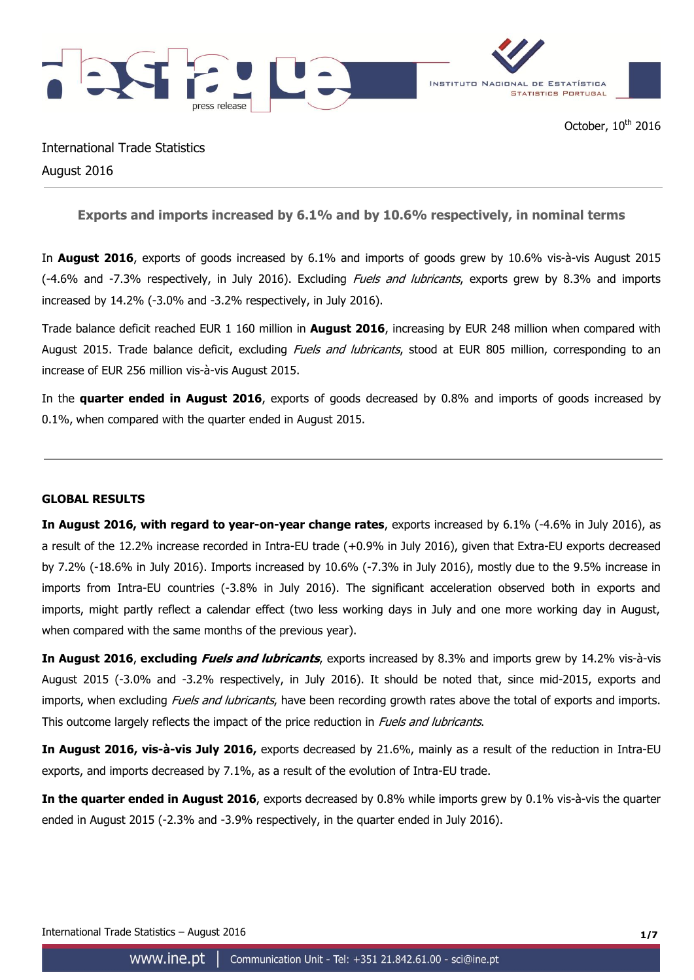

International Trade Statistics August 2016

**Exports and imports increased by 6.1% and by 10.6% respectively, in nominal terms**

In **August 2016**, exports of goods increased by 6.1% and imports of goods grew by 10.6% vis-à-vis August 2015 (-4.6% and -7.3% respectively, in July 2016). Excluding *Fuels and lubricants*, exports grew by 8.3% and imports increased by 14.2% (-3.0% and -3.2% respectively, in July 2016).

Trade balance deficit reached EUR 1 160 million in **August 2016**, increasing by EUR 248 million when compared with August 2015. Trade balance deficit, excluding *Fuels and lubricants*, stood at EUR 805 million, corresponding to an increase of EUR 256 million vis-à-vis August 2015.

In the **quarter ended in August 2016**, exports of goods decreased by 0.8% and imports of goods increased by 0.1%, when compared with the quarter ended in August 2015.

## **GLOBAL RESULTS**

**In August 2016, with regard to year-on-year change rates**, exports increased by 6.1% (-4.6% in July 2016), as a result of the 12.2% increase recorded in Intra-EU trade (+0.9% in July 2016), given that Extra-EU exports decreased by 7.2% (-18.6% in July 2016). Imports increased by 10.6% (-7.3% in July 2016), mostly due to the 9.5% increase in imports from Intra-EU countries (-3.8% in July 2016). The significant acceleration observed both in exports and imports, might partly reflect a calendar effect (two less working days in July and one more working day in August, when compared with the same months of the previous year).

**In August 2016**, **excluding Fuels and lubricants**, exports increased by 8.3% and imports grew by 14.2% vis-à-vis August 2015 (-3.0% and -3.2% respectively, in July 2016). It should be noted that, since mid-2015, exports and imports, when excluding Fuels and lubricants, have been recording growth rates above the total of exports and imports. This outcome largely reflects the impact of the price reduction in *Fuels and lubricants*.

**In August 2016, vis-à-vis July 2016,** exports decreased by 21.6%, mainly as a result of the reduction in Intra-EU exports, and imports decreased by 7.1%, as a result of the evolution of Intra-EU trade.

**In the quarter ended in August 2016**, exports decreased by 0.8% while imports grew by 0.1% vis-à-vis the quarter ended in August 2015 (-2.3% and -3.9% respectively, in the quarter ended in July 2016).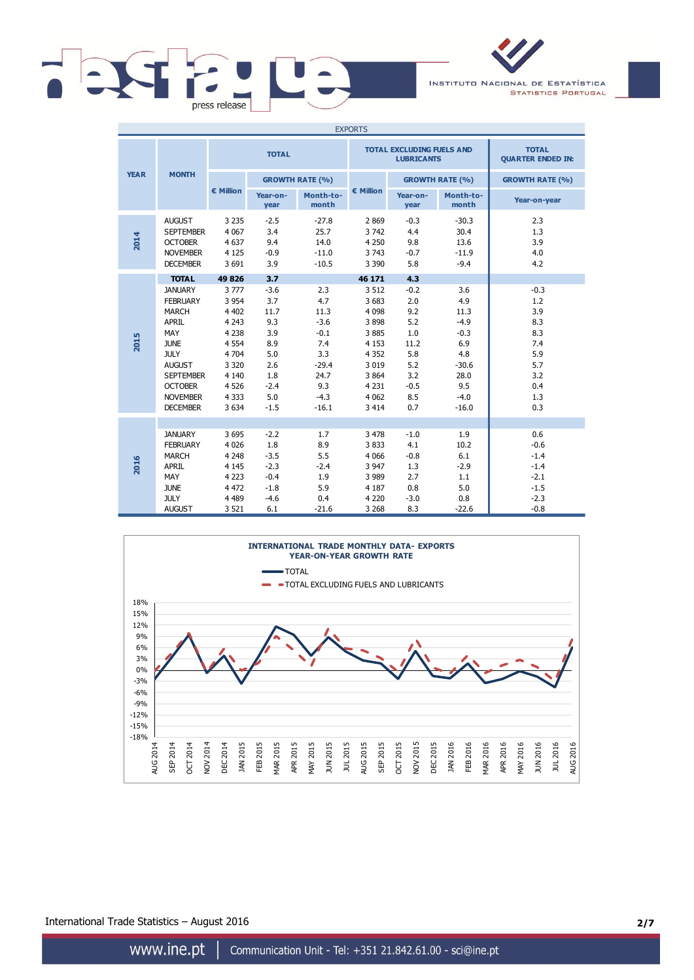

INSTITUTO NACIONAL DE ESTATÍSTICA **STATISTICS PORTUGAL** 

| <b>EXPORTS</b> |                                                                                                                                                                                                     |                                                                                                                               |                                                                                            |                                                                                                     |                                                                                                                           |                                                                                         |                                                                                                     |                                                                                     |
|----------------|-----------------------------------------------------------------------------------------------------------------------------------------------------------------------------------------------------|-------------------------------------------------------------------------------------------------------------------------------|--------------------------------------------------------------------------------------------|-----------------------------------------------------------------------------------------------------|---------------------------------------------------------------------------------------------------------------------------|-----------------------------------------------------------------------------------------|-----------------------------------------------------------------------------------------------------|-------------------------------------------------------------------------------------|
|                | <b>MONTH</b>                                                                                                                                                                                        | <b>TOTAL</b>                                                                                                                  |                                                                                            |                                                                                                     |                                                                                                                           | <b>TOTAL EXCLUDING FUELS AND</b><br><b>LUBRICANTS</b>                                   | <b>TOTAL</b><br><b>QUARTER ENDED IN:</b>                                                            |                                                                                     |
| <b>YEAR</b>    |                                                                                                                                                                                                     |                                                                                                                               |                                                                                            | <b>GROWTH RATE (%)</b>                                                                              |                                                                                                                           |                                                                                         | <b>GROWTH RATE (%)</b>                                                                              | <b>GROWTH RATE (%)</b>                                                              |
|                |                                                                                                                                                                                                     | € Million                                                                                                                     | Year-on-<br>year                                                                           | Month-to-<br>month                                                                                  | € Million                                                                                                                 | Year-on-<br>year                                                                        | Month-to-<br>month                                                                                  | Year-on-year                                                                        |
| 2014           | <b>AUGUST</b><br><b>SEPTEMBER</b><br><b>OCTOBER</b><br><b>NOVEMBER</b><br><b>DECEMBER</b>                                                                                                           | 3 2 3 5<br>4 0 6 7<br>4 6 3 7<br>4 1 2 5<br>3 6 9 1                                                                           | $-2.5$<br>3.4<br>9.4<br>$-0.9$<br>3.9                                                      | $-27.8$<br>25.7<br>14.0<br>$-11.0$<br>$-10.5$                                                       | 2869<br>3742<br>4 2 5 0<br>3 7 4 3<br>3 3 9 0                                                                             | $-0.3$<br>4.4<br>9.8<br>$-0.7$<br>5.8                                                   | $-30.3$<br>30.4<br>13.6<br>$-11.9$<br>$-9.4$                                                        | 2.3<br>1.3<br>3.9<br>4.0<br>4.2                                                     |
|                | <b>TOTAL</b>                                                                                                                                                                                        | 49 826                                                                                                                        | 3.7                                                                                        |                                                                                                     | 46 171                                                                                                                    | 4.3                                                                                     |                                                                                                     |                                                                                     |
| 2015           | <b>JANUARY</b><br><b>FEBRUARY</b><br><b>MARCH</b><br><b>APRIL</b><br>MAY<br><b>JUNE</b><br><b>JULY</b><br><b>AUGUST</b><br><b>SEPTEMBER</b><br><b>OCTOBER</b><br><b>NOVEMBER</b><br><b>DECEMBER</b> | 3777<br>3 9 5 4<br>4 4 0 2<br>4 2 4 3<br>4 2 3 8<br>4 5 5 4<br>4 7 0 4<br>3 3 2 0<br>4 1 4 0<br>4 5 2 6<br>4 3 3 3<br>3 6 3 4 | $-3.6$<br>3.7<br>11.7<br>9.3<br>3.9<br>8.9<br>5.0<br>2.6<br>1.8<br>$-2.4$<br>5.0<br>$-1.5$ | 2.3<br>4.7<br>11.3<br>$-3.6$<br>$-0.1$<br>7.4<br>3.3<br>$-29.4$<br>24.7<br>9.3<br>$-4.3$<br>$-16.1$ | 3 5 1 2<br>3 6 8 3<br>4 0 9 8<br>3898<br>3885<br>4 1 5 3<br>4 3 5 2<br>3 0 1 9<br>3 8 6 4<br>4 2 3 1<br>4 0 62<br>3 4 1 4 | $-0.2$<br>2.0<br>9.2<br>5.2<br>1.0<br>11.2<br>5.8<br>5.2<br>3.2<br>$-0.5$<br>8.5<br>0.7 | 3.6<br>4.9<br>11.3<br>$-4.9$<br>$-0.3$<br>6.9<br>4.8<br>$-30.6$<br>28.0<br>9.5<br>$-4.0$<br>$-16.0$ | $-0.3$<br>1.2<br>3.9<br>8.3<br>8.3<br>7.4<br>5.9<br>5.7<br>3.2<br>0.4<br>1.3<br>0.3 |
| 2016           | <b>JANUARY</b><br><b>FEBRUARY</b><br><b>MARCH</b><br><b>APRIL</b><br>MAY<br><b>JUNE</b><br><b>JULY</b><br><b>AUGUST</b>                                                                             | 3695<br>4 0 2 6<br>4 2 4 8<br>4 1 4 5<br>4 2 2 3<br>4 4 7 2<br>4 4 8 9<br>3 5 21                                              | $-2.2$<br>1.8<br>$-3.5$<br>$-2.3$<br>$-0.4$<br>$-1.8$<br>$-4.6$<br>6.1                     | 1.7<br>8.9<br>5.5<br>$-2.4$<br>1.9<br>5.9<br>0.4<br>$-21.6$                                         | 3 4 7 8<br>3833<br>4 0 6 6<br>3 9 4 7<br>3 9 8 9<br>4 187<br>4 2 2 0<br>3 2 6 8                                           | $-1.0$<br>4.1<br>$-0.8$<br>1.3<br>2.7<br>0.8<br>$-3.0$<br>8.3                           | 1.9<br>10.2<br>6.1<br>$-2.9$<br>1.1<br>5.0<br>0.8<br>$-22.6$                                        | 0.6<br>$-0.6$<br>$-1.4$<br>$-1.4$<br>$-2.1$<br>$-1.5$<br>$-2.3$<br>$-0.8$           |



International Trade Statistics – August 2016 **2/7**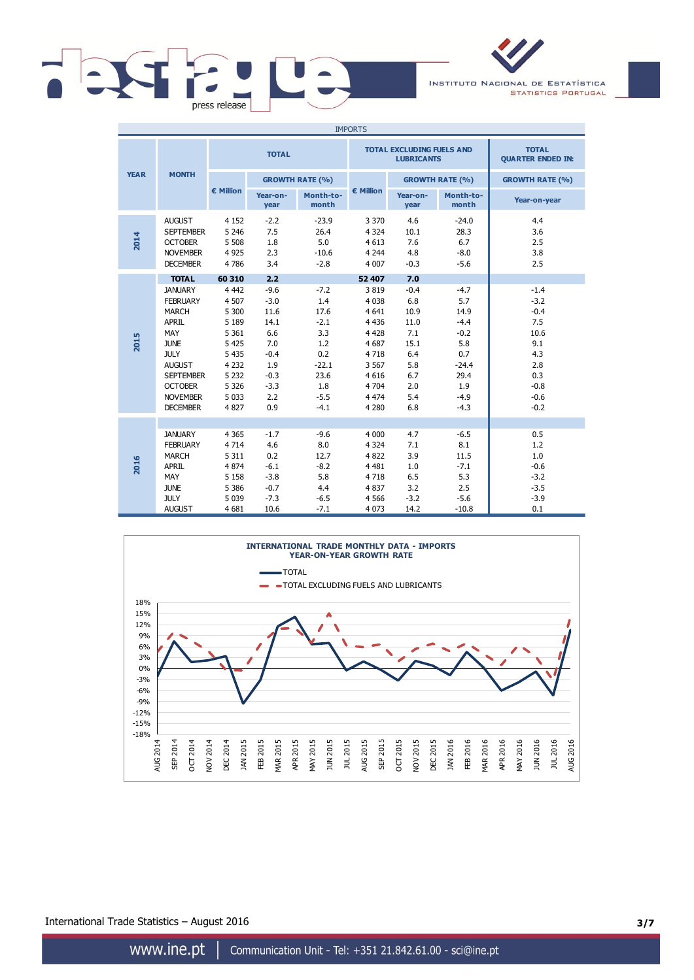

INSTITUTO NACIONAL DE ESTATÍSTICA **STATISTICS PORTUGAL** 

| <b>IMPORTS</b> |                                                                                                                                                                                                     |                                                                                                                             |                                                                                                   |                                                                                                    |                                                                                                                         |                                                                                        |                                                                                                       |                                                                                                     |
|----------------|-----------------------------------------------------------------------------------------------------------------------------------------------------------------------------------------------------|-----------------------------------------------------------------------------------------------------------------------------|---------------------------------------------------------------------------------------------------|----------------------------------------------------------------------------------------------------|-------------------------------------------------------------------------------------------------------------------------|----------------------------------------------------------------------------------------|-------------------------------------------------------------------------------------------------------|-----------------------------------------------------------------------------------------------------|
|                | <b>MONTH</b>                                                                                                                                                                                        | <b>TOTAL</b>                                                                                                                |                                                                                                   |                                                                                                    |                                                                                                                         | <b>TOTAL EXCLUDING FUELS AND</b><br><b>LUBRICANTS</b>                                  | <b>TOTAL</b><br><b>QUARTER ENDED IN:</b>                                                              |                                                                                                     |
| <b>YEAR</b>    |                                                                                                                                                                                                     |                                                                                                                             | <b>GROWTH RATE (%)</b>                                                                            |                                                                                                    |                                                                                                                         |                                                                                        | <b>GROWTH RATE (%)</b>                                                                                | <b>GROWTH RATE (%)</b>                                                                              |
|                |                                                                                                                                                                                                     | € Million                                                                                                                   | Year-on-<br>year                                                                                  | Month-to-<br>month                                                                                 | $\epsilon$ Million                                                                                                      | Year-on-<br>year                                                                       | Month-to-<br>month                                                                                    | Year-on-year                                                                                        |
| 2014           | <b>AUGUST</b><br><b>SEPTEMBER</b><br><b>OCTOBER</b><br><b>NOVEMBER</b><br><b>DECEMBER</b>                                                                                                           | 4 1 5 2<br>5 2 4 6<br>5 5 0 8<br>4 9 2 5<br>4786                                                                            | $-2.2$<br>7.5<br>1.8<br>2.3<br>3.4                                                                | $-23.9$<br>26.4<br>5.0<br>$-10.6$<br>$-2.8$                                                        | 3 3 7 0<br>4 3 2 4<br>4 6 1 3<br>4 2 4 4<br>4 0 0 7                                                                     | 4.6<br>10.1<br>7.6<br>4.8<br>$-0.3$                                                    | $-24.0$<br>28.3<br>6.7<br>$-8.0$<br>$-5.6$                                                            | 4.4<br>3.6<br>2.5<br>3.8<br>2.5                                                                     |
|                | <b>TOTAL</b>                                                                                                                                                                                        | 60 310                                                                                                                      | 2.2                                                                                               |                                                                                                    | 52 407                                                                                                                  | 7.0                                                                                    |                                                                                                       |                                                                                                     |
| 2015           | <b>JANUARY</b><br><b>FEBRUARY</b><br><b>MARCH</b><br><b>APRIL</b><br>MAY<br><b>JUNE</b><br><b>JULY</b><br><b>AUGUST</b><br><b>SEPTEMBER</b><br><b>OCTOBER</b><br><b>NOVEMBER</b><br><b>DECEMBER</b> | 4 4 4 2<br>4 5 0 7<br>5 300<br>5 1 8 9<br>5 3 6 1<br>5 4 2 5<br>5 4 3 5<br>4 2 3 2<br>5 2 3 2<br>5 3 2 6<br>5 0 3 3<br>4827 | $-9.6$<br>$-3.0$<br>11.6<br>14.1<br>6.6<br>7.0<br>$-0.4$<br>1.9<br>$-0.3$<br>$-3.3$<br>2.2<br>0.9 | $-7.2$<br>1.4<br>17.6<br>$-2.1$<br>3.3<br>1.2<br>0.2<br>$-22.1$<br>23.6<br>1.8<br>$-5.5$<br>$-4.1$ | 3819<br>4 0 38<br>4 6 4 1<br>4 4 3 6<br>4 4 2 8<br>4 6 8 7<br>4718<br>3 5 6 7<br>4 6 1 6<br>4 704<br>4 4 7 4<br>4 2 8 0 | $-0.4$<br>6.8<br>10.9<br>11.0<br>7.1<br>15.1<br>6.4<br>5.8<br>6.7<br>2.0<br>5.4<br>6.8 | $-4.7$<br>5.7<br>14.9<br>$-4.4$<br>$-0.2$<br>5.8<br>0.7<br>$-24.4$<br>29.4<br>1.9<br>$-4.9$<br>$-4.3$ | $-1.4$<br>$-3.2$<br>$-0.4$<br>7.5<br>10.6<br>9.1<br>4.3<br>2.8<br>0.3<br>$-0.8$<br>$-0.6$<br>$-0.2$ |
| 2016           | <b>JANUARY</b><br><b>FEBRUARY</b><br><b>MARCH</b><br><b>APRIL</b><br>MAY<br><b>JUNE</b><br><b>JULY</b><br><b>AUGUST</b>                                                                             | 4 3 6 5<br>4 7 1 4<br>5 3 1 1<br>4 8 7 4<br>5 1 5 8<br>5 3 8 6<br>5 0 3 9<br>4 6 8 1                                        | $-1.7$<br>4.6<br>0.2<br>$-6.1$<br>$-3.8$<br>$-0.7$<br>$-7.3$<br>10.6                              | $-9.6$<br>8.0<br>12.7<br>$-8.2$<br>5.8<br>4.4<br>$-6.5$<br>$-7.1$                                  | 4 0 0 0<br>4 3 2 4<br>4822<br>4 4 8 1<br>4718<br>4837<br>4 5 6 6<br>4 0 7 3                                             | 4.7<br>7.1<br>3.9<br>1.0<br>6.5<br>3.2<br>$-3.2$<br>14.2                               | $-6.5$<br>8.1<br>11.5<br>$-7.1$<br>5.3<br>2.5<br>$-5.6$<br>$-10.8$                                    | 0.5<br>1.2<br>1.0<br>$-0.6$<br>$-3.2$<br>$-3.5$<br>$-3.9$<br>0.1                                    |



International Trade Statistics – August 2016 **3/7**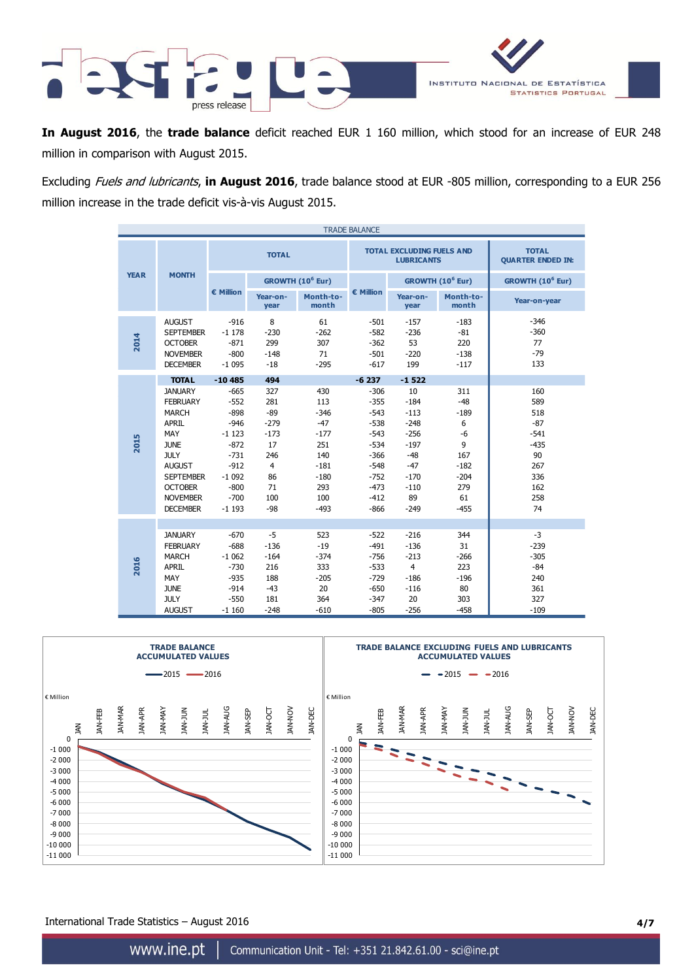

**In August 2016**, the **trade balance** deficit reached EUR 1 160 million, which stood for an increase of EUR 248 million in comparison with August 2015.

Excluding Fuels and lubricants, **in August 2016**, trade balance stood at EUR -805 million, corresponding to a EUR 256 million increase in the trade deficit vis-à-vis August 2015.

| <b>TRADE BALANCE</b> |                                                                                                                                                                                                     |                                                                                                                         |                                                                                                    |                                                                                                   |                                                                                                                      |                                                                                                            |                                                                                          |                                                                                        |
|----------------------|-----------------------------------------------------------------------------------------------------------------------------------------------------------------------------------------------------|-------------------------------------------------------------------------------------------------------------------------|----------------------------------------------------------------------------------------------------|---------------------------------------------------------------------------------------------------|----------------------------------------------------------------------------------------------------------------------|------------------------------------------------------------------------------------------------------------|------------------------------------------------------------------------------------------|----------------------------------------------------------------------------------------|
|                      | <b>MONTH</b>                                                                                                                                                                                        | <b>TOTAL</b>                                                                                                            |                                                                                                    |                                                                                                   |                                                                                                                      | <b>TOTAL EXCLUDING FUELS AND</b><br><b>LUBRICANTS</b>                                                      | <b>TOTAL</b><br><b>QUARTER ENDED IN:</b>                                                 |                                                                                        |
| <b>YEAR</b>          |                                                                                                                                                                                                     |                                                                                                                         | GROWTH (10 <sup>6</sup> Eur)                                                                       |                                                                                                   |                                                                                                                      |                                                                                                            | GROWTH (10 <sup>6</sup> Eur)                                                             | GROWTH (10 <sup>6</sup> Eur)                                                           |
|                      |                                                                                                                                                                                                     | € Million                                                                                                               | Year-on-<br>year                                                                                   | Month-to-<br>month                                                                                | € Million                                                                                                            | Year-on-<br>year                                                                                           | Month-to-<br>month                                                                       | Year-on-year                                                                           |
| 2014                 | <b>AUGUST</b><br><b>SEPTEMBER</b><br><b>OCTOBER</b><br><b>NOVEMBER</b><br><b>DECEMBER</b>                                                                                                           | $-916$<br>$-1178$<br>$-871$<br>$-800$<br>$-1095$                                                                        | 8<br>$-230$<br>299<br>$-148$<br>$-18$                                                              | 61<br>$-262$<br>307<br>71<br>$-295$                                                               | $-501$<br>$-582$<br>$-362$<br>$-501$<br>$-617$                                                                       | $-157$<br>$-236$<br>53<br>$-220$<br>199                                                                    | $-183$<br>$-81$<br>220<br>$-138$<br>$-117$                                               | $-346$<br>$-360$<br>77<br>$-79$<br>133                                                 |
|                      | <b>TOTAL</b>                                                                                                                                                                                        | $-10485$                                                                                                                | 494                                                                                                |                                                                                                   | $-6237$                                                                                                              | $-1522$                                                                                                    |                                                                                          |                                                                                        |
| 2015                 | <b>JANUARY</b><br><b>FEBRUARY</b><br><b>MARCH</b><br><b>APRIL</b><br>MAY<br><b>JUNE</b><br><b>JULY</b><br><b>AUGUST</b><br><b>SEPTEMBER</b><br><b>OCTOBER</b><br><b>NOVEMBER</b><br><b>DECEMBER</b> | $-665$<br>$-552$<br>$-898$<br>$-946$<br>$-1123$<br>$-872$<br>$-731$<br>$-912$<br>$-1092$<br>$-800$<br>$-700$<br>$-1193$ | 327<br>281<br>$-89$<br>$-279$<br>$-173$<br>17<br>246<br>$\overline{4}$<br>86<br>71<br>100<br>$-98$ | 430<br>113<br>$-346$<br>$-47$<br>$-177$<br>251<br>140<br>$-181$<br>$-180$<br>293<br>100<br>$-493$ | $-306$<br>$-355$<br>$-543$<br>$-538$<br>$-543$<br>$-534$<br>$-366$<br>$-548$<br>$-752$<br>$-473$<br>$-412$<br>$-866$ | 10<br>$-184$<br>$-113$<br>$-248$<br>$-256$<br>$-197$<br>$-48$<br>$-47$<br>$-170$<br>$-110$<br>89<br>$-249$ | 311<br>$-48$<br>$-189$<br>6<br>-6<br>9<br>167<br>$-182$<br>$-204$<br>279<br>61<br>$-455$ | 160<br>589<br>518<br>$-87$<br>$-541$<br>$-435$<br>90<br>267<br>336<br>162<br>258<br>74 |
|                      |                                                                                                                                                                                                     |                                                                                                                         |                                                                                                    |                                                                                                   |                                                                                                                      |                                                                                                            |                                                                                          |                                                                                        |
| 2016                 | <b>JANUARY</b><br><b>FEBRUARY</b><br><b>MARCH</b><br><b>APRIL</b><br>MAY<br><b>JUNE</b><br><b>JULY</b>                                                                                              | $-670$<br>$-688$<br>$-1062$<br>$-730$<br>$-935$<br>$-914$<br>$-550$                                                     | $-5$<br>$-136$<br>$-164$<br>216<br>188<br>$-43$<br>181                                             | 523<br>$-19$<br>$-374$<br>333<br>$-205$<br>20<br>364                                              | $-522$<br>$-491$<br>$-756$<br>$-533$<br>$-729$<br>$-650$<br>$-347$                                                   | $-216$<br>$-136$<br>$-213$<br>$\overline{4}$<br>$-186$<br>$-116$<br>20                                     | 344<br>31<br>$-266$<br>223<br>$-196$<br>80<br>303                                        | $-3$<br>$-239$<br>$-305$<br>$-84$<br>240<br>361<br>327                                 |
|                      | <b>AUGUST</b>                                                                                                                                                                                       | $-1160$                                                                                                                 | $-248$                                                                                             | $-610$                                                                                            | $-805$                                                                                                               | $-256$                                                                                                     | $-458$                                                                                   | $-109$                                                                                 |



International Trade Statistics – August 2016 **4/7**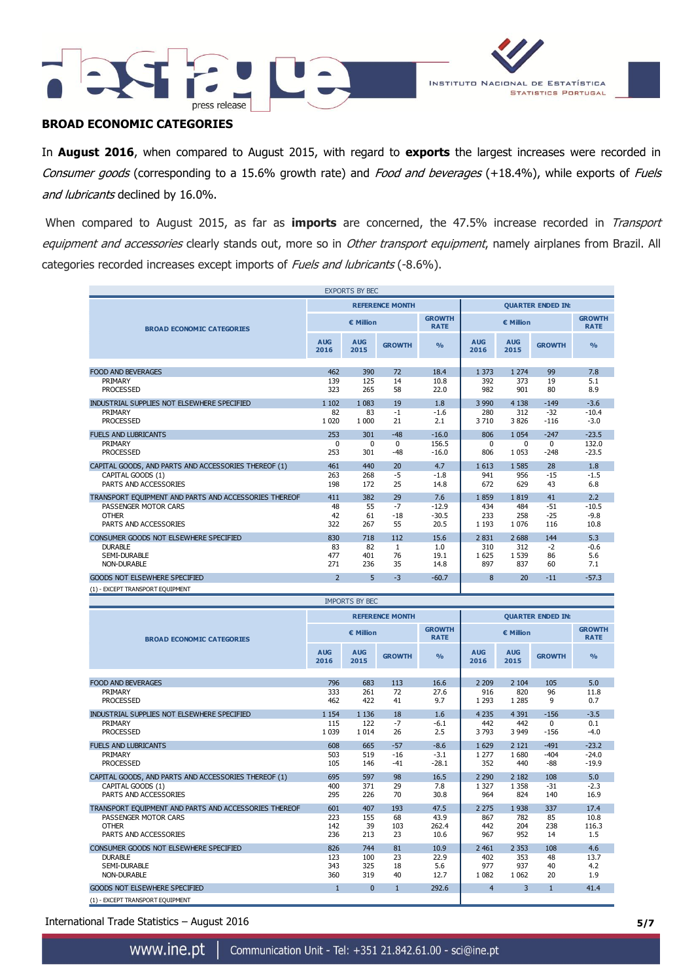



# **BROAD ECONOMIC CATEGORIES**

In **August 2016**, when compared to August 2015, with regard to **exports** the largest increases were recorded in Consumer goods (corresponding to a 15.6% growth rate) and Food and beverages (+18.4%), while exports of Fuels and lubricants declined by 16.0%.

When compared to August 2015, as far as **imports** are concerned, the 47.5% increase recorded in Transport equipment and accessories clearly stands out, more so in Other transport equipment, namely airplanes from Brazil. All categories recorded increases except imports of Fuels and lubricants (-8.6%).

|                                                                           |                    | <b>EXPORTS BY BEC</b> |                        |                              |                          |                          |                       |                              |  |
|---------------------------------------------------------------------------|--------------------|-----------------------|------------------------|------------------------------|--------------------------|--------------------------|-----------------------|------------------------------|--|
|                                                                           |                    |                       | <b>REFERENCE MONTH</b> |                              |                          | <b>QUARTER ENDED IN:</b> |                       |                              |  |
| <b>BROAD ECONOMIC CATEGORIES</b>                                          |                    | € Million             |                        | <b>GROWTH</b><br><b>RATE</b> | € Million                |                          |                       | <b>GROWTH</b><br><b>RATE</b> |  |
|                                                                           | <b>AUG</b><br>2016 | <b>AUG</b><br>2015    | <b>GROWTH</b>          | $\frac{0}{\alpha}$           | <b>AUG</b><br>2016       | <b>AUG</b><br>2015       | <b>GROWTH</b>         | O <sub>0</sub>               |  |
| <b>FOOD AND BEVERAGES</b>                                                 | 462                | 390                   | 72                     | 18.4                         | 1 3 7 3                  | 1 2 7 4                  | 99                    | 7.8                          |  |
| PRIMARY                                                                   | 139                | 125                   | 14                     | 10.8                         | 392                      | 373                      | 19                    | 5.1                          |  |
| <b>PROCESSED</b>                                                          | 323                | 265                   | 58                     | 22.0                         | 982                      | 901                      | 80                    | 8.9                          |  |
| INDUSTRIAL SUPPLIES NOT ELSEWHERE SPECIFIED                               | 1 1 0 2            | 1 0 8 3               | 19                     | 1.8                          | 3 9 9 0                  | 4 1 3 8                  | $-149$                | $-3.6$                       |  |
| PRIMARY                                                                   | 82                 | 83                    | $-1$                   | $-1.6$                       | 280                      | 312                      | $-32$                 | $-10.4$                      |  |
| <b>PROCESSED</b>                                                          | 1 0 2 0            | 1 0 0 0               | 21                     | 2.1                          | 3710                     | 3 8 2 6                  | $-116$                | $-3.0$                       |  |
| <b>FUELS AND LUBRICANTS</b>                                               | 253                | 301                   | $-48$                  | $-16.0$                      | 806                      | 1 0 5 4                  | $-247$                | $-23.5$                      |  |
| PRIMARY<br><b>PROCESSED</b>                                               | $\mathbf 0$<br>253 | 0<br>301              | $\mathbf{0}$<br>$-48$  | 156.5<br>$-16.0$             | 0<br>806                 | 0<br>1 0 5 3             | $\mathbf 0$<br>$-248$ | 132.0<br>$-23.5$             |  |
|                                                                           |                    |                       |                        |                              |                          |                          |                       |                              |  |
| CAPITAL GOODS, AND PARTS AND ACCESSORIES THEREOF (1)<br>CAPITAL GOODS (1) | 461<br>263         | 440<br>268            | 20<br>-5               | 4.7<br>$-1.8$                | 1613<br>941              | 1 5 8 5<br>956           | 28<br>$-15$           | 1.8<br>$-1.5$                |  |
| PARTS AND ACCESSORIES                                                     | 198                | 172                   | 25                     | 14.8                         | 672                      | 629                      | 43                    | 6.8                          |  |
| TRANSPORT EQUIPMENT AND PARTS AND ACCESSORIES THEREOF                     | 411                | 382                   | 29                     | 7.6                          | 1859                     | 1819                     | 41                    | 2.2                          |  |
| PASSENGER MOTOR CARS                                                      | 48                 | 55                    | $-7$                   | $-12.9$                      | 434                      | 484                      | $-51$                 | $-10.5$                      |  |
| <b>OTHER</b>                                                              | 42                 | 61                    | $-18$                  | $-30.5$                      | 233                      | 258                      | $-25$                 | $-9.8$                       |  |
| PARTS AND ACCESSORIES                                                     | 322                | 267                   | 55                     | 20.5                         | 1 1 9 3                  | 1 0 7 6                  | 116                   | 10.8                         |  |
| CONSUMER GOODS NOT ELSEWHERE SPECIFIED                                    | 830                | 718                   | 112                    | 15.6                         | 2 8 3 1                  | 2688                     | 144                   | 5.3                          |  |
| <b>DURABLE</b>                                                            | 83                 | 82                    | $\mathbf{1}$           | 1.0                          | 310                      | 312                      | -2                    | $-0.6$                       |  |
| SEMI-DURABLE<br>NON-DURABLE                                               | 477<br>271         | 401<br>236            | 76<br>35               | 19.1<br>14.8                 | 1625<br>897              | 1 5 3 9<br>837           | 86<br>60              | 5.6<br>7.1                   |  |
| GOODS NOT ELSEWHERE SPECIFIED                                             | $\overline{2}$     | 5                     | $-3$                   | $-60.7$                      | 8                        | 20                       | $-11$                 | $-57.3$                      |  |
| (1) - EXCEPT TRANSPORT EQUIPMENT                                          |                    |                       |                        |                              |                          |                          |                       |                              |  |
|                                                                           |                    | <b>IMPORTS BY BEC</b> |                        |                              |                          |                          |                       |                              |  |
|                                                                           |                    |                       | <b>REFERENCE MONTH</b> |                              |                          |                          |                       |                              |  |
|                                                                           |                    |                       |                        |                              | <b>OUARTER ENDED IN:</b> |                          |                       |                              |  |
|                                                                           |                    |                       |                        |                              |                          |                          |                       |                              |  |
| <b>BROAD ECONOMIC CATEGORIES</b>                                          |                    | € Million             |                        | <b>GROWTH</b><br><b>RATE</b> |                          | € Million                |                       | <b>GROWTH</b><br><b>RATE</b> |  |
|                                                                           | <b>AUG</b><br>2016 | <b>AUG</b><br>2015    | <b>GROWTH</b>          | $\frac{9}{6}$                | <b>AUG</b><br>2016       | <b>AUG</b><br>2015       | <b>GROWTH</b>         | $\frac{0}{0}$                |  |
|                                                                           |                    |                       |                        |                              |                          |                          |                       |                              |  |
| <b>FOOD AND BEVERAGES</b><br>PRIMARY                                      | 796<br>333         | 683<br>261            | 113<br>72              | 16.6<br>27.6                 | 2 2 0 9<br>916           | 2 1 0 4<br>820           | 105<br>96             | 5.0<br>11.8                  |  |
| <b>PROCESSED</b>                                                          | 462                | 422                   | 41                     | 9.7                          | 1 2 9 3                  | 1 2 8 5                  | 9                     | 0.7                          |  |
| INDUSTRIAL SUPPLIES NOT ELSEWHERE SPECIFIED                               | 1 1 5 4            | 1 1 3 6               | 18                     | 1.6                          | 4 2 3 5                  | 4 3 9 1                  | $-156$                | $-3.5$                       |  |
| PRIMARY                                                                   | 115                | 122                   | $-7$                   | $-6.1$                       | 442                      | 442                      | $\Omega$              | 0.1                          |  |
| <b>PROCESSED</b>                                                          | 1 0 3 9            | 1 0 1 4               | 26                     | 2.5                          | 3793                     | 3 9 4 9                  | $-156$                | $-4.0$                       |  |
| <b>FUELS AND LUBRICANTS</b>                                               | 608                | 665                   | $-57$                  | $-8.6$                       | 1629                     | 2 1 2 1                  | $-491$                | $-23.2$                      |  |
| PRIMARY                                                                   | 503                | 519                   | $-16$                  | $-3.1$                       | 1 2 7 7                  | 1680                     | $-404$                | $-24.0$                      |  |
| <b>PROCESSED</b>                                                          | 105                | 146                   | $-41$                  | $-28.1$                      | 352                      | 440                      | -88                   | $-19.9$                      |  |
| CAPITAL GOODS, AND PARTS AND ACCESSORIES THEREOF (1)                      | 695                | 597                   | 98                     | 16.5                         | 2 2 9 0                  | 2 1 8 2                  | 108                   | 5.0                          |  |
| CAPITAL GOODS (1)<br>PARTS AND ACCESSORIES                                | 400<br>295         | 371<br>226            | 29<br>70               | 7.8<br>30.8                  | 1 3 2 7<br>964           | 1 3 5 8<br>824           | $-31$<br>140          | $-2.3$<br>16.9               |  |
| TRANSPORT EQUIPMENT AND PARTS AND ACCESSORIES THEREOF                     | 601                | 407                   | 193                    | 47.5                         | 2 2 7 5                  | 1938                     | 337                   | 17.4                         |  |
| PASSENGER MOTOR CARS                                                      | 223                | 155                   | 68                     | 43.9                         | 867                      | 782                      | 85                    | 10.8                         |  |
| <b>OTHER</b>                                                              | 142                | 39                    | 103                    | 262.4                        | 442                      | 204                      | 238                   | 116.3                        |  |
| PARTS AND ACCESSORIES                                                     | 236                | 213                   | 23                     | 10.6                         | 967                      | 952                      | 14                    | 1.5                          |  |
| CONSUMER GOODS NOT ELSEWHERE SPECIFIED                                    | 826                | 744                   | 81                     | 10.9                         | 2 4 6 1                  | 2 3 5 3                  | 108                   | 4.6                          |  |
| <b>DURABLE</b><br>SEMI-DURABLE                                            | 123<br>343         | 100<br>325            | 23<br>18               | 22.9<br>5.6                  | 402<br>977               | 353<br>937               | 48<br>40              | 13.7<br>4.2                  |  |

International Trade Statistics – August 2016 **5/7**

(1) - EXCEPT TRANSPORT EQUIPMENT

GOODS NOT ELSEWHERE SPECIFIED 1 0 1 292.6 4 3 1 41.4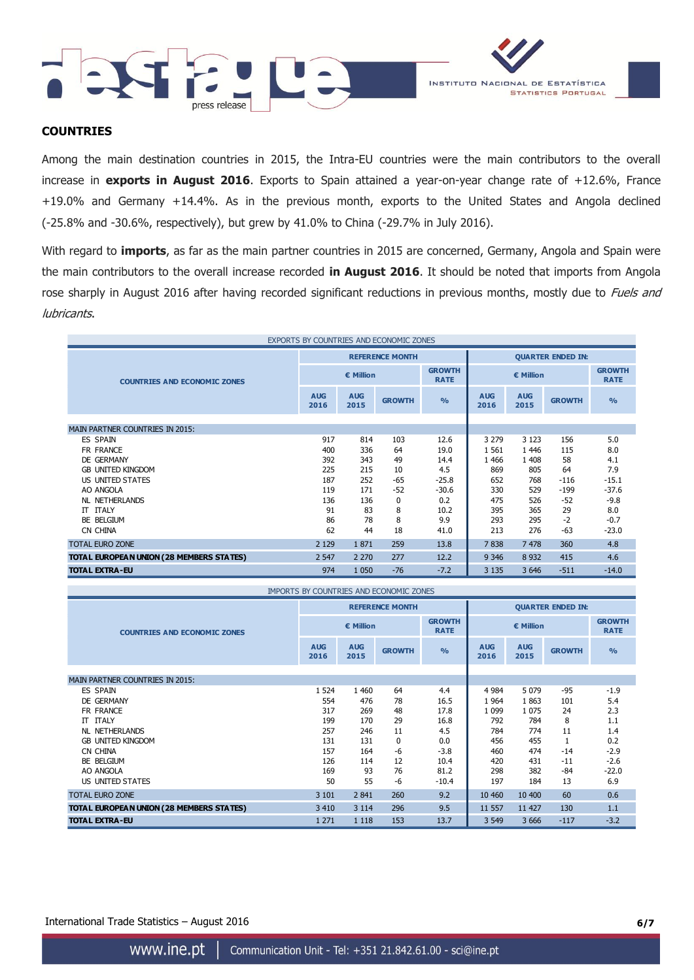



### **COUNTRIES**

Among the main destination countries in 2015, the Intra-EU countries were the main contributors to the overall increase in **exports in August 2016**. Exports to Spain attained a year-on-year change rate of +12.6%, France +19.0% and Germany +14.4%. As in the previous month, exports to the United States and Angola declined (-25.8% and -30.6%, respectively), but grew by 41.0% to China (-29.7% in July 2016).

With regard to **imports**, as far as the main partner countries in 2015 are concerned, Germany, Angola and Spain were the main contributors to the overall increase recorded **in August 2016**. It should be noted that imports from Angola rose sharply in August 2016 after having recorded significant reductions in previous months, mostly due to Fuels and lubricants.

| EXPORTS BY COUNTRIES AND ECONOMIC ZONES  |                    |                    |                        |                              |                          |                    |               |                              |
|------------------------------------------|--------------------|--------------------|------------------------|------------------------------|--------------------------|--------------------|---------------|------------------------------|
|                                          |                    |                    | <b>REFERENCE MONTH</b> |                              | <b>QUARTER ENDED IN:</b> |                    |               |                              |
| <b>COUNTRIES AND ECONOMIC ZONES</b>      |                    | € Million          |                        | <b>GROWTH</b><br><b>RATE</b> | € Million                |                    |               | <b>GROWTH</b><br><b>RATE</b> |
|                                          | <b>AUG</b><br>2016 | <b>AUG</b><br>2015 | <b>GROWTH</b>          | $\frac{0}{0}$                | <b>AUG</b><br>2016       | <b>AUG</b><br>2015 | <b>GROWTH</b> | $\frac{9}{6}$                |
| <b>MAIN PARTNER COUNTRIES IN 2015:</b>   |                    |                    |                        |                              |                          |                    |               |                              |
| ES SPAIN                                 | 917                | 814                | 103                    | 12.6                         | 3 2 7 9                  | 3 1 2 3            | 156           | 5.0                          |
| FR FRANCE                                | 400                | 336                | 64                     | 19.0                         | 1 5 6 1                  | 1446               | 115           | 8.0                          |
| DE GERMANY                               | 392                | 343                | 49                     | 14.4                         | 1 4 6 6                  | 1 4 0 8            | 58            | 4.1                          |
| <b>GB UNITED KINGDOM</b>                 | 225                | 215                | 10                     | 4.5                          | 869                      | 805                | 64            | 7.9                          |
| US UNITED STATES                         | 187                | 252                | $-65$                  | $-25.8$                      | 652                      | 768                | $-116$        | $-15.1$                      |
| AO ANGOLA                                | 119                | 171                | $-52$                  | $-30.6$                      | 330                      | 529                | $-199$        | $-37.6$                      |
| NL NETHERLANDS                           | 136                | 136                | 0                      | 0.2                          | 475                      | 526                | $-52$         | $-9.8$                       |
| <b>IT ITALY</b>                          | 91                 | 83                 | 8                      | 10.2                         | 395                      | 365                | 29            | 8.0                          |
| BE BELGIUM                               | 86                 | 78                 | 8                      | 9.9                          | 293                      | 295                | $-2$          | $-0.7$                       |
| CN CHINA                                 | 62                 | 44                 | 18                     | 41.0                         | 213                      | 276                | $-63$         | $-23.0$                      |
| <b>TOTAL EURO ZONE</b>                   | 2 1 2 9            | 1871               | 259                    | 13.8                         | 7838                     | 7 4 7 8            | 360           | 4.8                          |
| TOTAL EUROPEAN UNION (28 MEMBERS STATES) | 2 5 4 7            | 2 2 7 0            | 277                    | 12.2                         | 9 3 4 6                  | 8 9 3 2            | 415           | 4.6                          |
| <b>TOTAL EXTRA-EU</b>                    | 974                | 1 0 5 0            | $-76$                  | $-7.2$                       | 3 1 3 5                  | 3 6 4 6            | $-511$        | $-14.0$                      |

| IMPORTS BY COUNTRIES AND ECONOMIC ZONES  |                    |                    |                        |                              |                          |                    |               |                              |
|------------------------------------------|--------------------|--------------------|------------------------|------------------------------|--------------------------|--------------------|---------------|------------------------------|
|                                          |                    |                    | <b>REFERENCE MONTH</b> |                              | <b>QUARTER ENDED IN:</b> |                    |               |                              |
| <b>COUNTRIES AND ECONOMIC ZONES</b>      | € Million          |                    |                        | <b>GROWTH</b><br><b>RATE</b> | € Million                |                    |               | <b>GROWTH</b><br><b>RATE</b> |
|                                          | <b>AUG</b><br>2016 | <b>AUG</b><br>2015 | <b>GROWTH</b>          | O <sub>0</sub>               | <b>AUG</b><br>2016       | <b>AUG</b><br>2015 | <b>GROWTH</b> | $\frac{0}{0}$                |
| MAIN PARTNER COUNTRIES IN 2015:          |                    |                    |                        |                              |                          |                    |               |                              |
| <b>ES SPAIN</b>                          | 1 5 2 4            | 1 4 6 0            | 64                     | 4.4                          | 4 9 8 4                  | 5 0 7 9            | $-95$         | $-1.9$                       |
| DE GERMANY                               | 554                | 476                | 78                     | 16.5                         | 1964                     | 1863               | 101           | 5.4                          |
| FR FRANCE                                | 317                | 269                | 48                     | 17.8                         | 1 0 9 9                  | 1 0 7 5            | 24            | 2.3                          |
| <b>IT ITALY</b>                          | 199                | 170                | 29                     | 16.8                         | 792                      | 784                | 8             | 1.1                          |
| NL NETHERLANDS                           | 257                | 246                | 11                     | 4.5                          | 784                      | 774                | 11            | 1.4                          |
| <b>GB UNITED KINGDOM</b>                 | 131                | 131                | 0                      | 0.0                          | 456                      | 455                |               | 0.2                          |
| CN CHINA                                 | 157                | 164                | -6                     | $-3.8$                       | 460                      | 474                | $-14$         | $-2.9$                       |
| BE BELGIUM                               | 126                | 114                | 12                     | 10.4                         | 420                      | 431                | $-11$         | $-2.6$                       |
| AO ANGOLA                                | 169                | 93                 | 76                     | 81.2                         | 298                      | 382                | -84           | $-22.0$                      |
| US UNITED STATES                         | 50                 | 55                 | -6                     | $-10.4$                      | 197                      | 184                | 13            | 6.9                          |
| <b>TOTAL EURO ZONE</b>                   | 3 1 0 1            | 2 8 4 1            | 260                    | 9.2                          | 10 460                   | 10 400             | 60            | 0.6                          |
| TOTAL EUROPEAN UNION (28 MEMBERS STATES) | 3 4 1 0            | 3 1 1 4            | 296                    | 9.5                          | 11 557                   | 11 427             | 130           | 1.1                          |
| <b>TOTAL EXTRA-EU</b>                    | 1 2 7 1            | 1 1 1 8            | 153                    | 13.7                         | 3 5 4 9                  | 3 6 6 6            | $-117$        | $-3.2$                       |